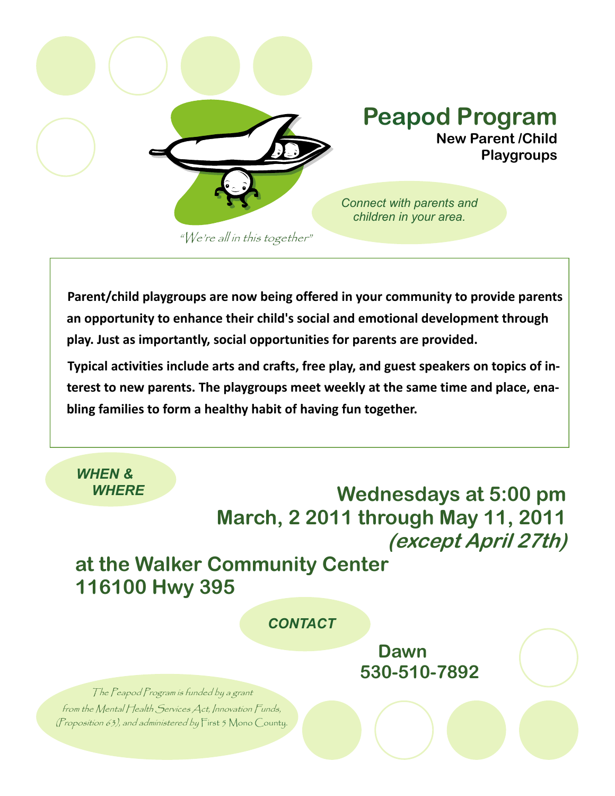

**Parent/child playgroups are now being offered in your community to provide parents an opportunity to enhance their child's social and emotional development through play. Just as importantly, social opportunities for parents are provided.**

**Typical activities include arts and crafts, free play, and guest speakers on topics of in‐ terest to new parents. The playgroups meet weekly at the same time and place, ena‐ bling families to form a healthy habit of having fun together.** 

 *WHERE* **Wednesdays at 5:00 pm March, 2 2011 through May 11, 2011 (except April 27th)** 

## **at the Walker Community Center 116100 Hwy 395**

 *CONTACT* 

 **Dawn 530-510-7892**

The Peapod Program is funded by a grant from the Mental Health Services Act, Innovation Funds, (Proposition 63), and administered by First 5 Mono County.

 *WHEN &*